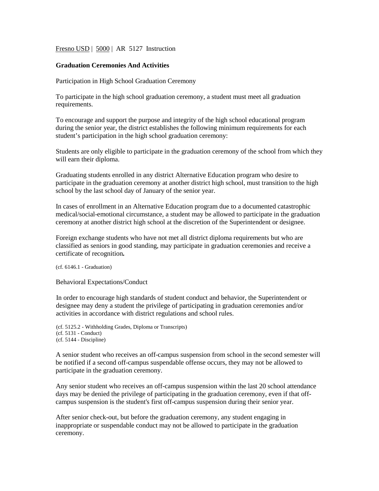Fresno USD | 5000 | AR 5127 Instruction

## **Graduation Ceremonies And Activities**

Participation in High School Graduation Ceremony

To participate in the high school graduation ceremony, a student must meet all graduation requirements.

To encourage and support the purpose and integrity of the high school educational program during the senior year, the district establishes the following minimum requirements for each student's participation in the high school graduation ceremony:

Students are only eligible to participate in the graduation ceremony of the school from which they will earn their diploma.

Graduating students enrolled in any district Alternative Education program who desire to participate in the graduation ceremony at another district high school, must transition to the high school by the last school day of January of the senior year.

In cases of enrollment in an Alternative Education program due to a documented catastrophic medical/social-emotional circumstance, a student may be allowed to participate in the graduation ceremony at another district high school at the discretion of the Superintendent or designee.

Foreign exchange students who have not met all district diploma requirements but who are classified as seniors in good standing, may participate in graduation ceremonies and receive a certificate of recognition*.*

(cf[. 6146.1](http://www.gamutonline.net/district/elkgrove/displayPolicy/854216/5) - Graduation)

Behavioral Expectations/Conduct

In order to encourage high standards of student conduct and behavior, the Superintendent or designee may deny a student the privilege of participating in graduation ceremonies and/or activities in accordance with district regulations and school rules.

```
(cf. 5125.2 - Withholding Grades, Diploma or Transcripts)
(cf. 5131 - Conduct)
(cf. 5144 - Discipline)
```
A senior student who receives an off-campus suspension from school in the second semester will be notified if a second off-campus suspendable offense occurs, they may not be allowed to participate in the graduation ceremony.

Any senior student who receives an off-campus suspension within the last 20 school attendance days may be denied the privilege of participating in the graduation ceremony, even if that offcampus suspension is the student's first off-campus suspension during their senior year.

After senior check-out, but before the graduation ceremony, any student engaging in inappropriate or suspendable conduct may not be allowed to participate in the graduation ceremony.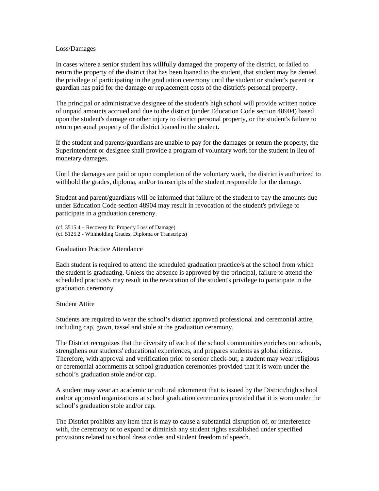## Loss/Damages

In cases where a senior student has willfully damaged the property of the district, or failed to return the property of the district that has been loaned to the student, that student may be denied the privilege of participating in the graduation ceremony until the student or student's parent or guardian has paid for the damage or replacement costs of the district's personal property.

The principal or administrative designee of the student's high school will provide written notice of unpaid amounts accrued and due to the district (under Education Code section 48904) based upon the student's damage or other injury to district personal property, or the student's failure to return personal property of the district loaned to the student.

If the student and parents/guardians are unable to pay for the damages or return the property, the Superintendent or designee shall provide a program of voluntary work for the student in lieu of monetary damages.

Until the damages are paid or upon completion of the voluntary work, the district is authorized to withhold the grades, diploma, and/or transcripts of the student responsible for the damage.

Student and parent/guardians will be informed that failure of the student to pay the amounts due under Education Code section 48904 may result in revocation of the student's privilege to participate in a graduation ceremony.

(cf. 3515.4 – Recovery for Property Loss of Damage) (cf. 5125.2 - Withholding Grades, Diploma or Transcripts)

Graduation Practice Attendance

Each student is required to attend the scheduled graduation practice/s at the school from which the student is graduating. Unless the absence is approved by the principal, failure to attend the scheduled practice/s may result in the revocation of the student's privilege to participate in the graduation ceremony.

## Student Attire

Students are required to wear the school's district approved professional and ceremonial attire, including cap, gown, tassel and stole at the graduation ceremony.

The District recognizes that the diversity of each of the school communities enriches our schools, strengthens our students' educational experiences, and prepares students as global citizens. Therefore, with approval and verification prior to senior check-out, a student may wear religious or ceremonial adornments at school graduation ceremonies provided that it is worn under the school's graduation stole and/or cap.

A student may wear an academic or cultural adornment that is issued by the District/high school and/or approved organizations at school graduation ceremonies provided that it is worn under the school's graduation stole and/or cap.

The District prohibits any item that is may to cause a substantial disruption of, or interference with, the ceremony or to expand or diminish any student rights established under specified provisions related to school dress codes and student freedom of speech.